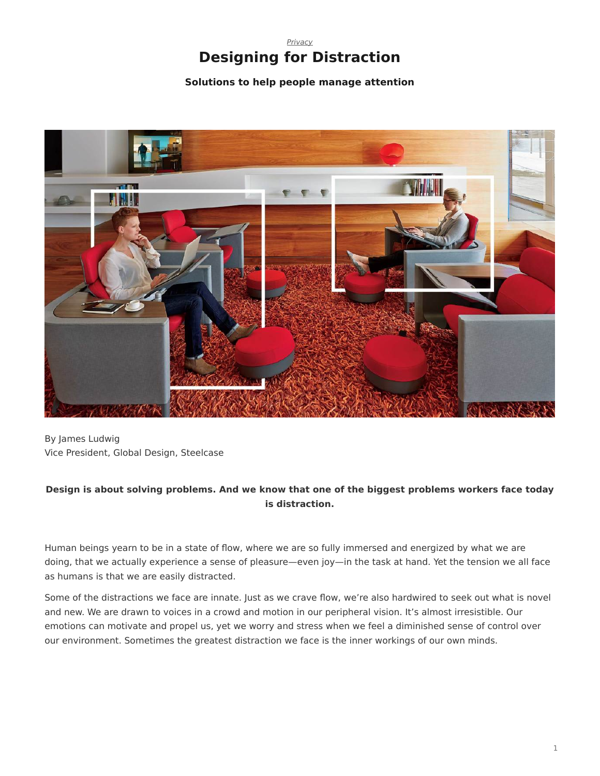## <span id="page-0-0"></span>*[Privacy](https://www.steelcase.com/research/topics/privacy/)* **Designing for Distraction**

#### **Solutions to help people manage attention**



By James Ludwig Vice President, Global Design, Steelcase

#### **Design is about solving problems. And we know that one of the biggest problems workers face today is distraction.**

Human beings yearn to be in a state of flow, where we are so fully immersed and energized by what we are doing, that we actually experience a sense of pleasure—even joy—in the task at hand. Yet the tension we all face as humans is that we are easily distracted.

Some of the distractions we face are innate. Just as we crave flow, we're also hardwired to seek out what is novel and new. We are drawn to voices in a crowd and motion in our peripheral vision. It's almost irresistible. Our emotions can motivate and propel us, yet we worry and stress when we feel a diminished sense of control over our environment. Sometimes the greatest distraction we face is the inner workings of our own minds.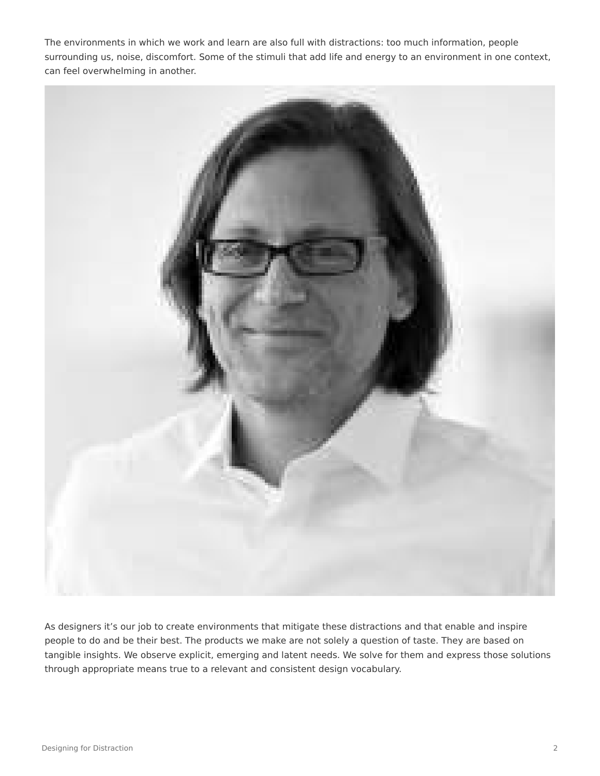The environments in which we work and learn are also full with distractions: too much information, people surrounding us, noise, discomfort. Some of the stimuli that add life and energy to an environment in one context, can feel overwhelming in another.



As designers it's our job to create environments that mitigate these distractions and that enable and inspire people to do and be their best. The products we make are not solely a question of taste. They are based on tangible insights. We observe explicit, emerging and latent needs. We solve for them and express those solutions through appropriate means true to a relevant and consistent design vocabulary.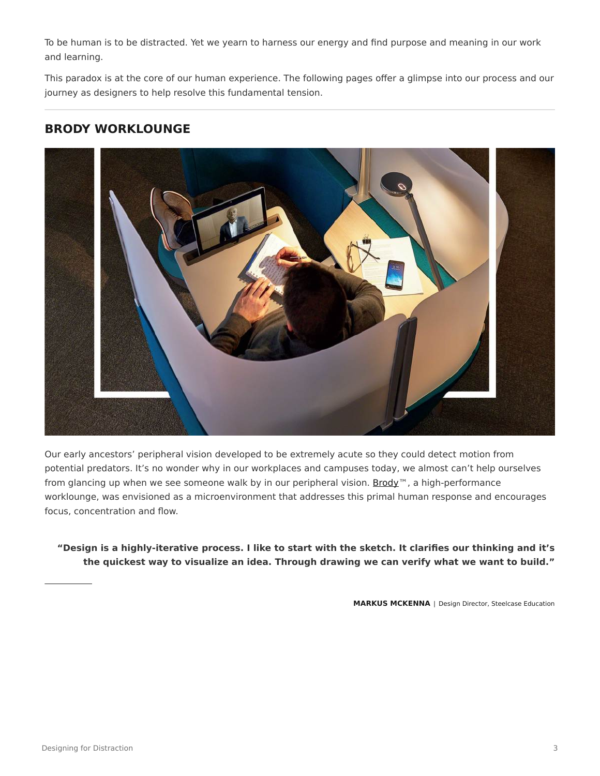To be human is to be distracted. Yet we yearn to harness our energy and find purpose and meaning in our work and learning.

This paradox is at the core of our human experience. The following pages offer a glimpse into our process and our journey as designers to help resolve this fundamental tension.

## **[BRODY WORKLOUNGE](https://www.steelcase.com/products/lounge-seating/brody/?utm_source=Steelcase.com&utm_medium=ContentLink&utm_campaign=HBR)**



Our early ancestors' peripheral vision developed to be extremely acute so they could detect motion from potential predators. It's no wonder why in our workplaces and campuses today, we almost can't help ourselves from glancing up when we see someone walk by in our peripheral vision. Brody<sup>™</sup>, a high-performance worklounge, was envisioned as a microenvironment that addresses this primal human response and encourages focus, concentration and flow.

**"Design is a highly-iterative process. I like to start with the sketch. It clarifies our thinking and it's the quickest way to visualize an idea. Through drawing we can verify what we want to build."**

**MARKUS MCKENNA** | Design Director, Steelcase Education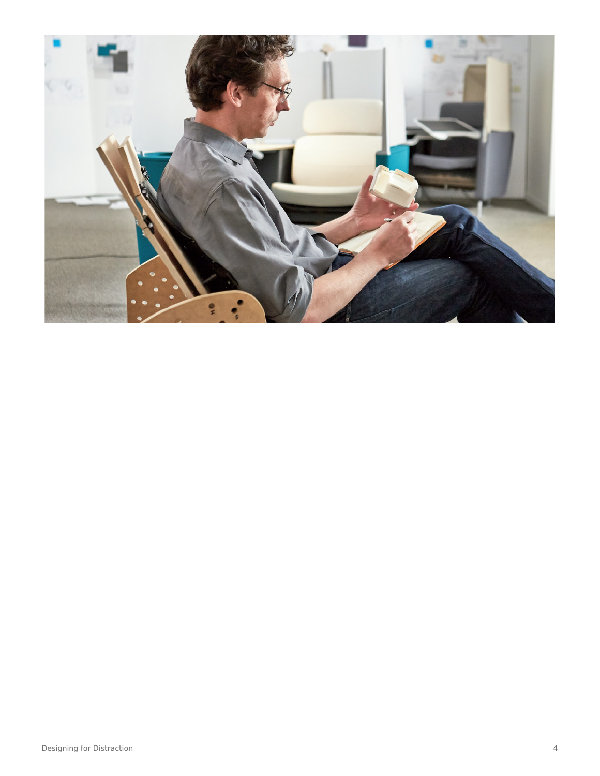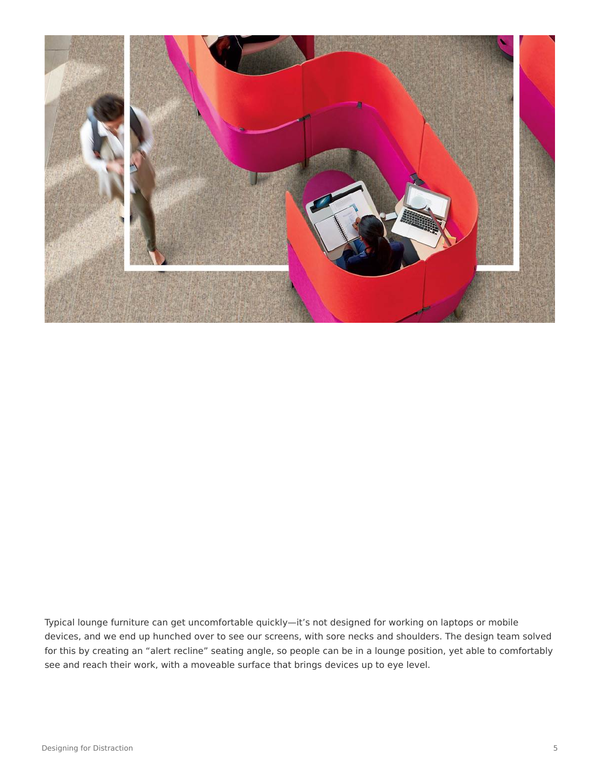

Typical lounge furniture can get uncomfortable quickly—it's not designed for working on laptops or mobile devices, and we end up hunched over to see our screens, with sore necks and shoulders. The design team solved for this by creating an "alert recline" seating angle, so people can be in a lounge position, yet able to comfortably see and reach their work, with a moveable surface that brings devices up to eye level.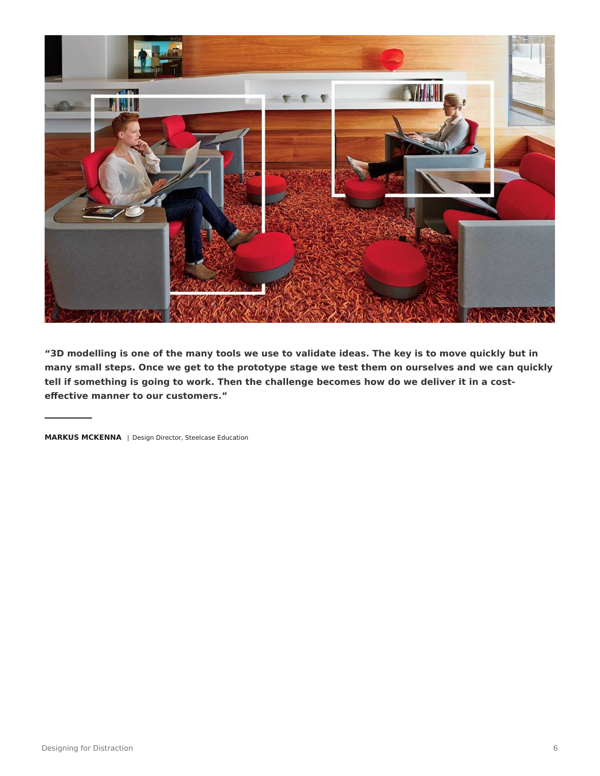

**"3D modelling is one of the many tools we use to validate ideas. The key is to move quickly but in many small steps. Once we get to the prototype stage we test them on ourselves and we can quickly tell if something is going to work. Then the challenge becomes how do we deliver it in a costeffective manner to our customers."**

**MARKUS MCKENNA** | Design Director, Steelcase Education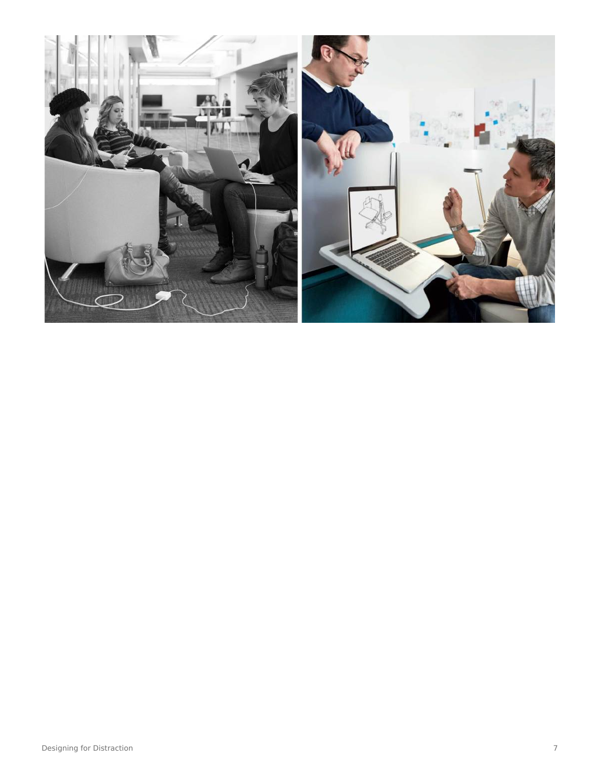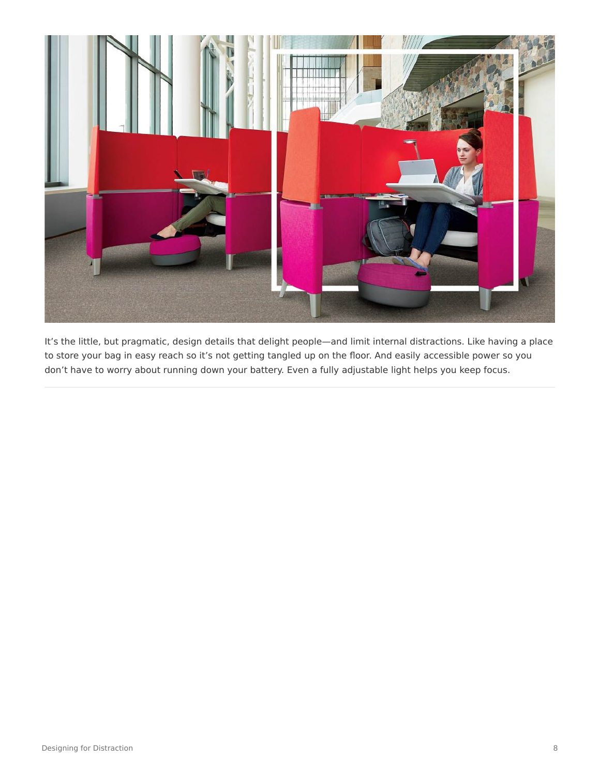

It's the little, but pragmatic, design details that delight people—and limit internal distractions. Like having a place to store your bag in easy reach so it's not getting tangled up on the floor. And easily accessible power so you don't have to worry about running down your battery. Even a fully adjustable light helps you keep focus.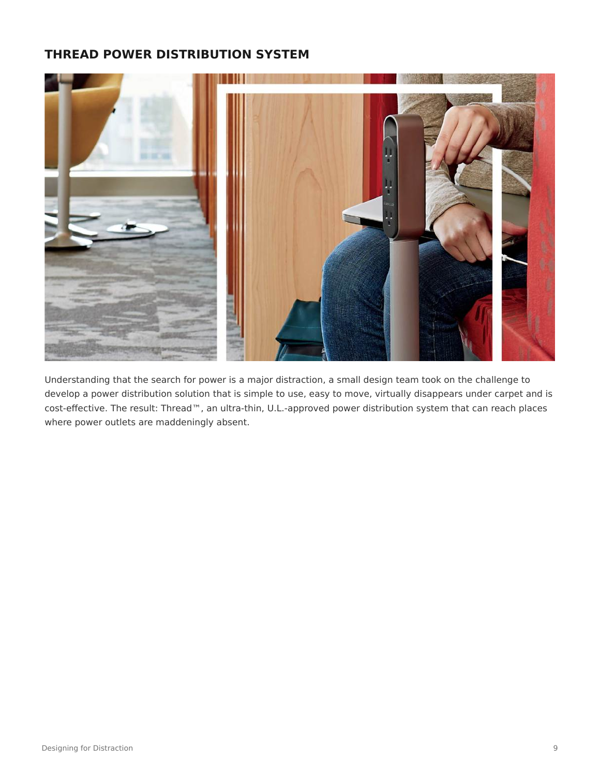## **THREAD POWER DISTRIBUTION SYSTEM**



Understanding that the search for power is a major distraction, a small design team took on the challenge to develop a power distribution solution that is simple to use, easy to move, virtually disappears under carpet and is cost-effective. The result: Thread™, an ultra-thin, U.L.-approved power distribution system that can reach places where power outlets are maddeningly absent.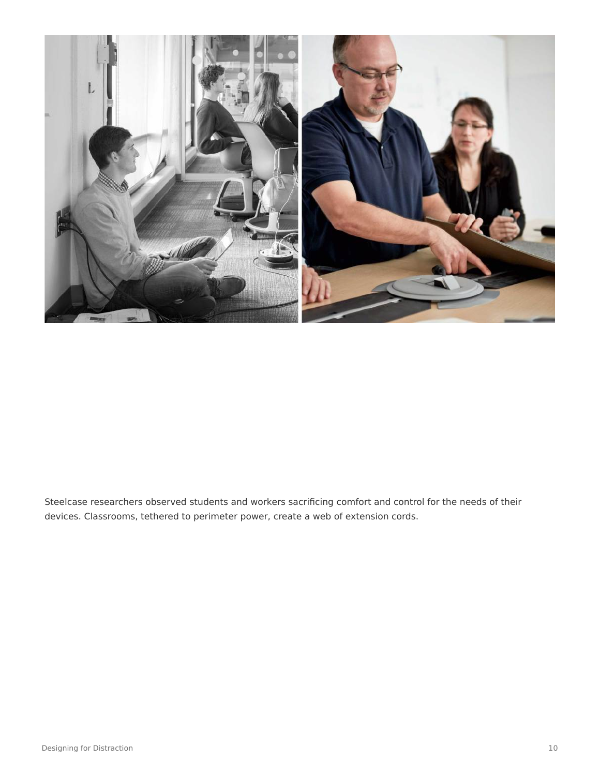

Steelcase researchers observed students and workers sacrificing comfort and control for the needs of their devices. Classrooms, tethered to perimeter power, create a web of extension cords.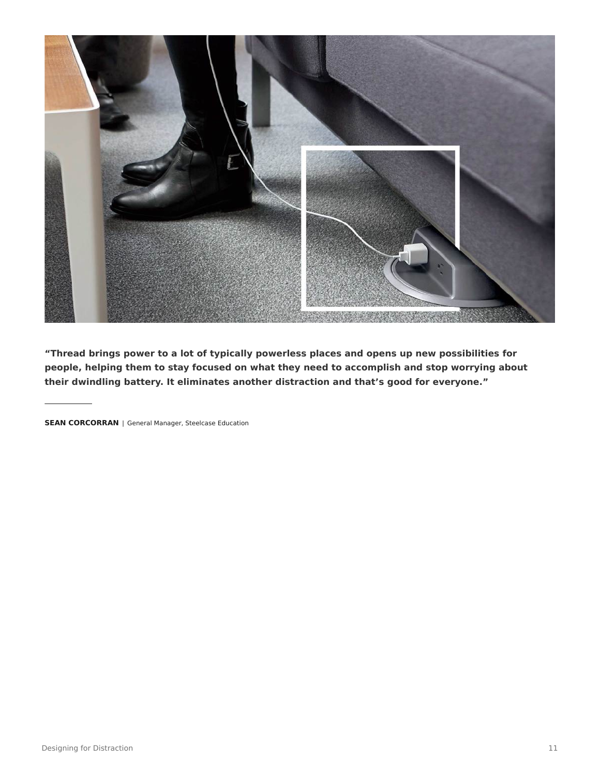

**"Thread brings power to a lot of typically powerless places and opens up new possibilities for people, helping them to stay focused on what they need to accomplish and stop worrying about their dwindling battery. It eliminates another distraction and that's good for everyone."**

**SEAN CORCORRAN** | General Manager, Steelcase Education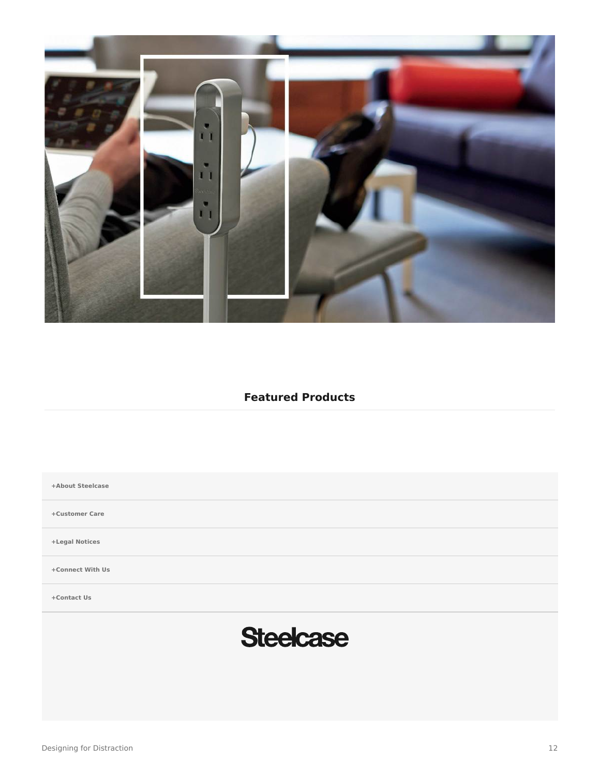

### **Featured Products**

**[+About Steelcase](https://www.steelcase.com/discover/steelcase/our-company/)**

**[+Customer Care](#page-0-0)**

**[+Legal Notices](#page-0-0)**

**[Connect With Us](https://www.steelcase.com/find-us/social-media/) [+](https://www.steelcase.com/find-us/social-media/)**

**[Contact Us](https://www.steelcase.com/about/connect/contact-us/) [+](https://www.steelcase.com/about/connect/contact-us/)**

# **Steelcase**